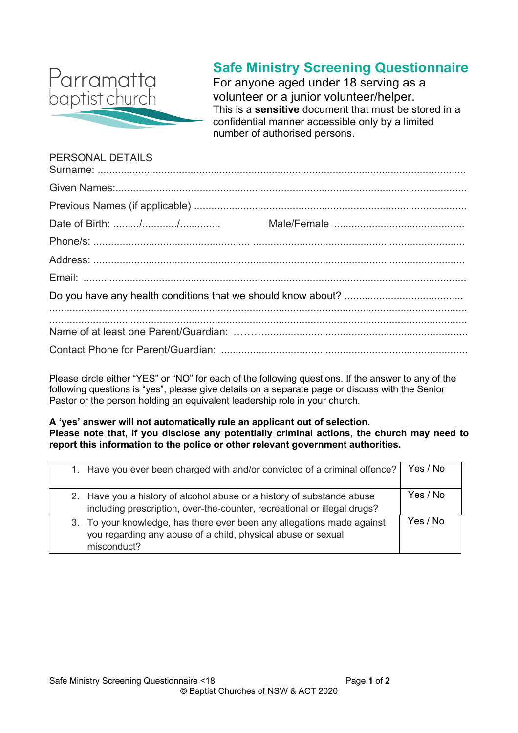

## **Safe Ministry Screening Questionnaire**

For anyone aged under 18 serving as a volunteer or a junior volunteer/helper. This is a **sensitive** document that must be stored in a confidential manner accessible only by a limited number of authorised persons.

# PERSONAL DETAILS

Please circle either "YES" or "NO" for each of the following questions. If the answer to any of the following questions is "yes", please give details on a separate page or discuss with the Senior Pastor or the person holding an equivalent leadership role in your church.

#### **A 'yes' answer will not automatically rule an applicant out of selection. Please note that, if you disclose any potentially criminal actions, the church may need to report this information to the police or other relevant government authorities.**

| 1. Have you ever been charged with and/or convicted of a criminal offence?                                                                            | Yes / No |
|-------------------------------------------------------------------------------------------------------------------------------------------------------|----------|
| 2. Have you a history of alcohol abuse or a history of substance abuse<br>including prescription, over-the-counter, recreational or illegal drugs?    | Yes / No |
| 3. To your knowledge, has there ever been any allegations made against<br>you regarding any abuse of a child, physical abuse or sexual<br>misconduct? | Yes / No |